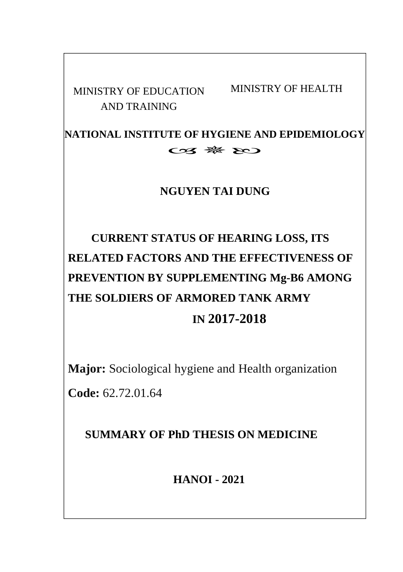AND TRAINING

MINISTRY OF EDUCATION MINISTRY OF HEALTH

**NATIONAL INSTITUTE OF HYGIENE AND EPIDEMIOLOGY**  $C23$   $\frac{166}{160}$   $\frac{160}{160}$ 

## **NGUYEN TAI DUNG**

# **CURRENT STATUS OF HEARING LOSS, ITS RELATED FACTORS AND THE EFFECTIVENESS OF PREVENTION BY SUPPLEMENTING Mg-B6 AMONG THE SOLDIERS OF ARMORED TANK ARMY IN 2017-2018**

**Major:** Sociological hygiene and Health organization

**Code:** 62.72.01.64

**SUMMARY OF PhD THESIS ON MEDICINE**

**HANOI - 2021**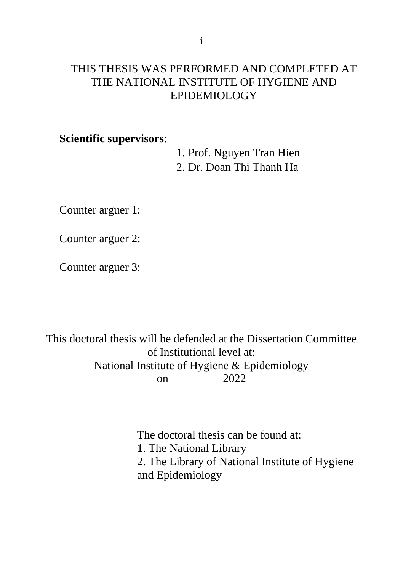#### THIS THESIS WAS PERFORMED AND COMPLETED AT THE NATIONAL INSTITUTE OF HYGIENE AND EPIDEMIOLOGY

#### **Scientific supervisors**:

1. Prof. Nguyen Tran Hien 2. Dr. Doan Thi Thanh Ha

Counter arguer 1:

Counter arguer 2:

Counter arguer 3:

This doctoral thesis will be defended at the Dissertation Committee of Institutional level at: National Institute of Hygiene & Epidemiology on 2022

> The doctoral thesis can be found at: 1. The National Library 2. The Library of National Institute of Hygiene and Epidemiology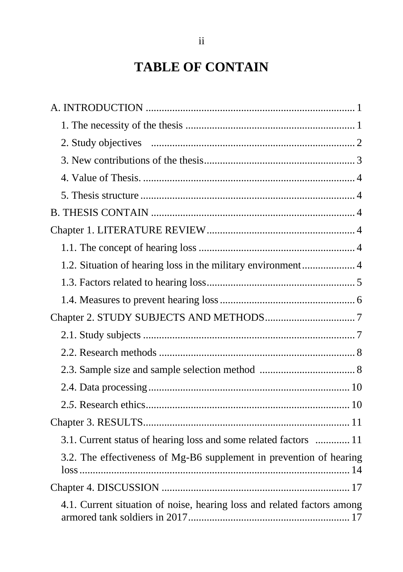## **TABLE OF CONTAIN**

| 1.2. Situation of hearing loss in the military environment 4            |  |
|-------------------------------------------------------------------------|--|
|                                                                         |  |
|                                                                         |  |
|                                                                         |  |
|                                                                         |  |
|                                                                         |  |
|                                                                         |  |
|                                                                         |  |
|                                                                         |  |
|                                                                         |  |
| 3.1. Current status of hearing loss and some related factors  11        |  |
| 3.2. The effectiveness of Mg-B6 supplement in prevention of hearing     |  |
|                                                                         |  |
| 4.1. Current situation of noise, hearing loss and related factors among |  |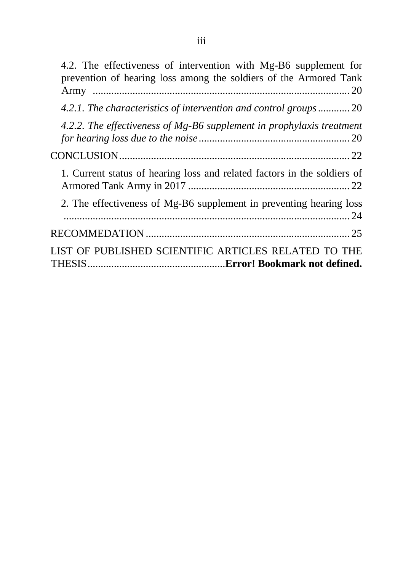| 4.2. The effectiveness of intervention with Mg-B6 supplement for<br>prevention of hearing loss among the soldiers of the Armored Tank |
|---------------------------------------------------------------------------------------------------------------------------------------|
| 4.2.1. The characteristics of intervention and control groups 20                                                                      |
| 4.2.2. The effectiveness of $Mg$ -B6 supplement in prophylaxis treatment                                                              |
|                                                                                                                                       |
| 1. Current status of hearing loss and related factors in the soldiers of                                                              |
| 2. The effectiveness of Mg-B6 supplement in preventing hearing loss                                                                   |
|                                                                                                                                       |
| LIST OF PUBLISHED SCIENTIFIC ARTICLES RELATED TO THE                                                                                  |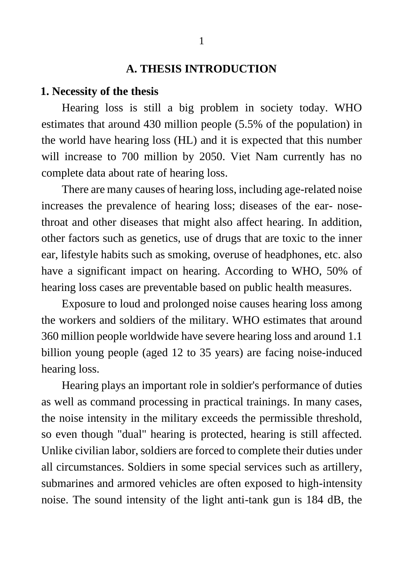#### **A. THESIS INTRODUCTION**

#### <span id="page-4-1"></span><span id="page-4-0"></span>**1. Necessity of the thesis**

Hearing loss is still a big problem in society today. WHO estimates that around 430 million people (5.5% of the population) in the world have hearing loss (HL) and it is expected that this number will increase to 700 million by 2050. Viet Nam currently has no complete data about rate of hearing loss.

There are many causes of hearing loss, including age-related noise increases the prevalence of hearing loss; diseases of the ear- nosethroat and other diseases that might also affect hearing. In addition, other factors such as genetics, use of drugs that are toxic to the inner ear, lifestyle habits such as smoking, overuse of headphones, etc. also have a significant impact on hearing. According to WHO, 50% of hearing loss cases are preventable based on public health measures.

Exposure to loud and prolonged noise causes hearing loss among the workers and soldiers of the military. WHO estimates that around 360 million people worldwide have severe hearing loss and around 1.1 billion young people (aged 12 to 35 years) are facing noise-induced hearing loss.

Hearing plays an important role in soldier's performance of duties as well as command processing in practical trainings. In many cases, the noise intensity in the military exceeds the permissible threshold, so even though "dual" hearing is protected, hearing is still affected. Unlike civilian labor, soldiers are forced to complete their duties under all circumstances. Soldiers in some special services such as artillery, submarines and armored vehicles are often exposed to high-intensity noise. The sound intensity of the light anti-tank gun is 184 dB, the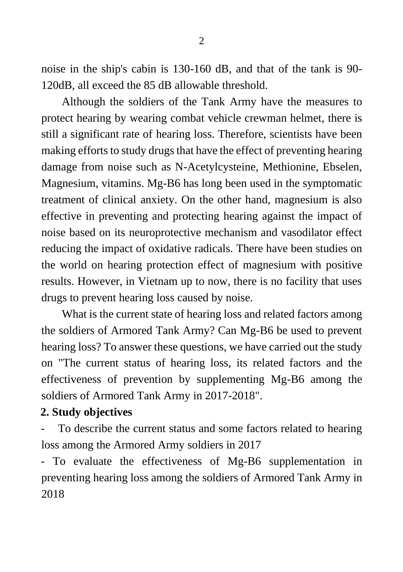noise in the ship's cabin is 130-160 dB, and that of the tank is 90- 120dB, all exceed the 85 dB allowable threshold.

Although the soldiers of the Tank Army have the measures to protect hearing by wearing combat vehicle crewman helmet, there is still a significant rate of hearing loss. Therefore, scientists have been making efforts to study drugs that have the effect of preventing hearing damage from noise such as N-Acetylcysteine, Methionine, Ebselen, Magnesium, vitamins. Mg-B6 has long been used in the symptomatic treatment of clinical anxiety. On the other hand, magnesium is also effective in preventing and protecting hearing against the impact of noise based on its neuroprotective mechanism and vasodilator effect reducing the impact of oxidative radicals. There have been studies on the world on hearing protection effect of magnesium with positive results. However, in Vietnam up to now, there is no facility that uses drugs to prevent hearing loss caused by noise.

What is the current state of hearing loss and related factors among the soldiers of Armored Tank Army? Can Mg-B6 be used to prevent hearing loss? To answer these questions, we have carried out the study on "The current status of hearing loss, its related factors and the effectiveness of prevention by supplementing Mg-B6 among the soldiers of Armored Tank Army in 2017-2018".

#### <span id="page-5-0"></span>**2. Study objectives**

To describe the current status and some factors related to hearing loss among the Armored Army soldiers in 2017

- To evaluate the effectiveness of Mg-B6 supplementation in preventing hearing loss among the soldiers of Armored Tank Army in 2018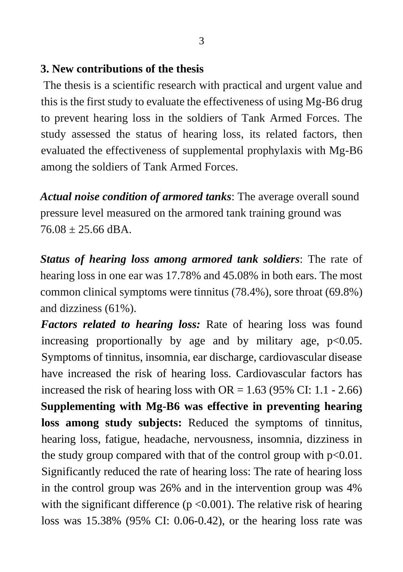#### <span id="page-6-0"></span>**3. New contributions of the thesis**

The thesis is a scientific research with practical and urgent value and this is the first study to evaluate the effectiveness of using Mg-B6 drug to prevent hearing loss in the soldiers of Tank Armed Forces. The study assessed the status of hearing loss, its related factors, then evaluated the effectiveness of supplemental prophylaxis with Mg-B6 among the soldiers of Tank Armed Forces.

*Actual noise condition of armored tanks*: The average overall sound pressure level measured on the armored tank training ground was  $76.08 + 25.66$  dBA.

*Status of hearing loss among armored tank soldiers*: The rate of hearing loss in one ear was 17.78% and 45.08% in both ears. The most common clinical symptoms were tinnitus (78.4%), sore throat (69.8%) and dizziness (61%).

*Factors related to hearing loss:* Rate of hearing loss was found increasing proportionally by age and by military age,  $p<0.05$ . Symptoms of tinnitus, insomnia, ear discharge, cardiovascular disease have increased the risk of hearing loss. Cardiovascular factors has increased the risk of hearing loss with  $OR = 1.63$  (95% CI: 1.1 - 2.66) **Supplementing with Mg-B6 was effective in preventing hearing loss among study subjects:** Reduced the symptoms of tinnitus, hearing loss, fatigue, headache, nervousness, insomnia, dizziness in the study group compared with that of the control group with  $p<0.01$ . Significantly reduced the rate of hearing loss: The rate of hearing loss in the control group was 26% and in the intervention group was 4% with the significant difference ( $p \le 0.001$ ). The relative risk of hearing loss was 15.38% (95% CI: 0.06-0.42), or the hearing loss rate was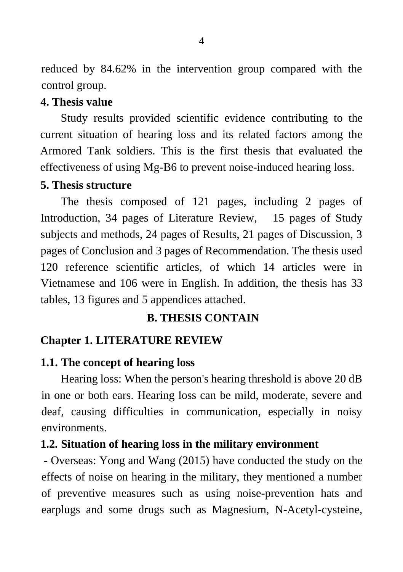reduced by 84.62% in the intervention group compared with the control group.

#### <span id="page-7-0"></span>**4. Thesis value**

Study results provided scientific evidence contributing to the current situation of hearing loss and its related factors among the Armored Tank soldiers. This is the first thesis that evaluated the effectiveness of using Mg-B6 to prevent noise-induced hearing loss.

#### <span id="page-7-1"></span>**5. Thesis structure**

The thesis composed of 121 pages, including 2 pages of Introduction, 34 pages of Literature Review, 15 pages of Study subjects and methods, 24 pages of Results, 21 pages of Discussion, 3 pages of Conclusion and 3 pages of Recommendation. The thesis used 120 reference scientific articles, of which 14 articles were in Vietnamese and 106 were in English. In addition, the thesis has 33 tables, 13 figures and 5 appendices attached.

#### <span id="page-7-2"></span>**B. THESIS CONTAIN**

#### <span id="page-7-3"></span>**Chapter 1. LITERATURE REVIEW**

#### <span id="page-7-4"></span>**1.1. The concept of hearing loss**

Hearing loss: When the person's hearing threshold is above 20 dB in one or both ears. Hearing loss can be mild, moderate, severe and deaf, causing difficulties in communication, especially in noisy environments.

#### <span id="page-7-5"></span>**1.2. Situation of hearing loss in the military environment**

- Overseas: Yong and Wang (2015) have conducted the study on the effects of noise on hearing in the military, they mentioned a number of preventive measures such as using noise-prevention hats and earplugs and some drugs such as Magnesium, N-Acetyl-cysteine,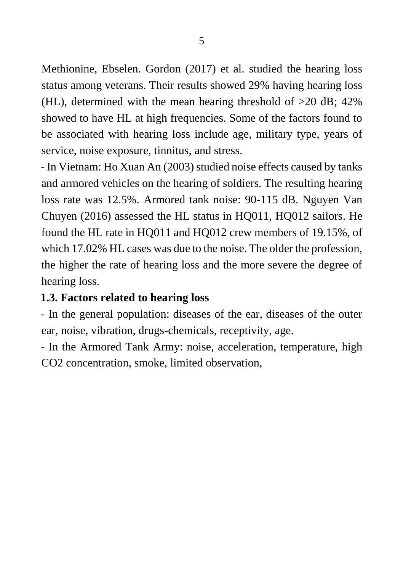Methionine, Ebselen. Gordon (2017) et al. studied the hearing loss status among veterans. Their results showed 29% having hearing loss (HL), determined with the mean hearing threshold of >20 dB; 42% showed to have HL at high frequencies. Some of the factors found to be associated with hearing loss include age, military type, years of service, noise exposure, tinnitus, and stress.

- In Vietnam: Ho Xuan An (2003) studied noise effects caused by tanks and armored vehicles on the hearing of soldiers. The resulting hearing loss rate was 12.5%. Armored tank noise: 90-115 dB. Nguyen Van Chuyen (2016) assessed the HL status in HQ011, HQ012 sailors. He found the HL rate in HQ011 and HQ012 crew members of 19.15%, of which 17.02% HL cases was due to the noise. The older the profession, the higher the rate of hearing loss and the more severe the degree of hearing loss.

## <span id="page-8-0"></span>**1.3. Factors related to hearing loss**

- In the general population: diseases of the ear, diseases of the outer ear, noise, vibration, drugs-chemicals, receptivity, age.

- In the Armored Tank Army: noise, acceleration, temperature, high CO2 concentration, smoke, limited observation,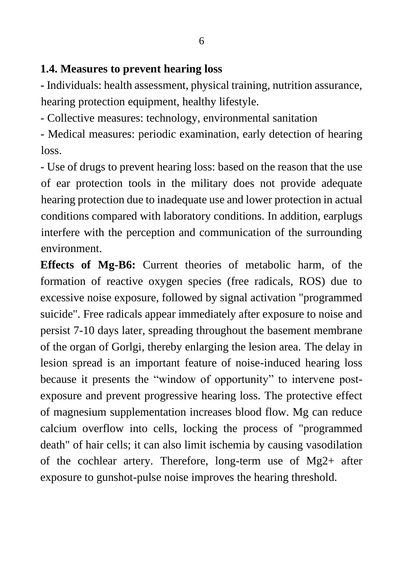#### <span id="page-9-0"></span>**1.4. Measures to prevent hearing loss**

**-** Individuals: health assessment, physical training, nutrition assurance, hearing protection equipment, healthy lifestyle.

- Collective measures: technology, environmental sanitation

- Medical measures: periodic examination, early detection of hearing loss.

- Use of drugs to prevent hearing loss: based on the reason that the use of ear protection tools in the military does not provide adequate hearing protection due to inadequate use and lower protection in actual conditions compared with laboratory conditions. In addition, earplugs interfere with the perception and communication of the surrounding environment.

**Effects of Mg-B6:** Current theories of metabolic harm, of the formation of reactive oxygen species (free radicals, ROS) due to excessive noise exposure, followed by signal activation "programmed suicide". Free radicals appear immediately after exposure to noise and persist 7-10 days later, spreading throughout the basement membrane of the organ of Gorlgi, thereby enlarging the lesion area. The delay in lesion spread is an important feature of noise-induced hearing loss because it presents the "window of opportunity" to intervene postexposure and prevent progressive hearing loss. The protective effect of magnesium supplementation increases blood flow. Mg can reduce calcium overflow into cells, locking the process of "programmed death" of hair cells; it can also limit ischemia by causing vasodilation of the cochlear artery. Therefore, long-term use of Mg2+ after exposure to gunshot-pulse noise improves the hearing threshold.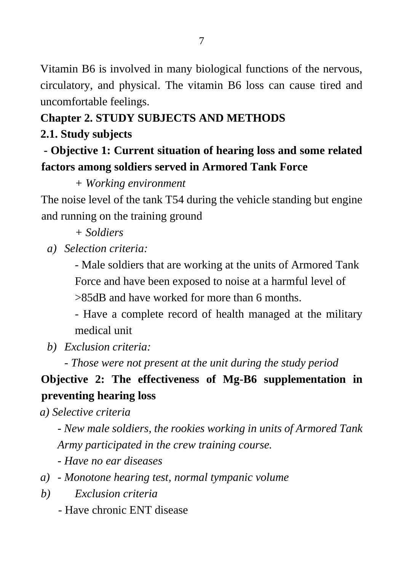Vitamin B6 is involved in many biological functions of the nervous, circulatory, and physical. The vitamin B6 loss can cause tired and uncomfortable feelings.

## <span id="page-10-0"></span>**Chapter 2. STUDY SUBJECTS AND METHODS**

## <span id="page-10-1"></span>**2.1. Study subjects**

## **- Objective 1: Current situation of hearing loss and some related factors among soldiers served in Armored Tank Force**

*+ Working environment*

The noise level of the tank T54 during the vehicle standing but engine and running on the training ground

- *+ Soldiers*
- *a) Selection criteria:*

- Male soldiers that are working at the units of Armored Tank Force and have been exposed to noise at a harmful level of >85dB and have worked for more than 6 months.

- Have a complete record of health managed at the military medical unit

*b) Exclusion criteria:*

*- Those were not present at the unit during the study period*

## **Objective 2: The effectiveness of Mg-B6 supplementation in preventing hearing loss**

*a) Selective criteria* 

*- New male soldiers, the rookies working in units of Armored Tank Army participated in the crew training course.*

*- Have no ear diseases*

- *a) - Monotone hearing test, normal tympanic volume*
- *b) Exclusion criteria*
	- Have chronic ENT disease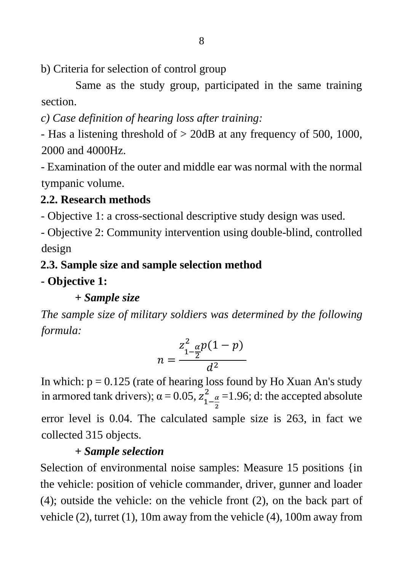b) Criteria for selection of control group

 Same as the study group, participated in the same training section.

*c) Case definition of hearing loss after training:*

- Has a listening threshold of > 20dB at any frequency of 500, 1000, 2000 and 4000Hz.

- Examination of the outer and middle ear was normal with the normal tympanic volume.

## <span id="page-11-0"></span>**2.2. Research methods**

- Objective 1: a cross-sectional descriptive study design was used.

- Objective 2: Community intervention using double-blind, controlled design

## <span id="page-11-1"></span>**2.3. Sample size and sample selection method**

### **- Objective 1:**

*+ Sample size*

*The sample size of military soldiers was determined by the following formula:* 

$$
n = \frac{z_{1-\frac{\alpha}{2}}^{2}p(1-p)}{d^2}
$$

In which:  $p = 0.125$  (rate of hearing loss found by Ho Xuan An's study in armored tank drivers);  $\alpha = 0.05$ ,  $z_{1-\frac{\alpha}{3}}^2$ 2  $\frac{2}{1-\alpha}$  = 1.96; d: the accepted absolute

error level is 0.04. The calculated sample size is 263, in fact we collected 315 objects.

## *+ Sample selection*

Selection of environmental noise samples: Measure 15 positions {in the vehicle: position of vehicle commander, driver, gunner and loader (4); outside the vehicle: on the vehicle front (2), on the back part of vehicle (2), turret (1), 10m away from the vehicle (4), 100m away from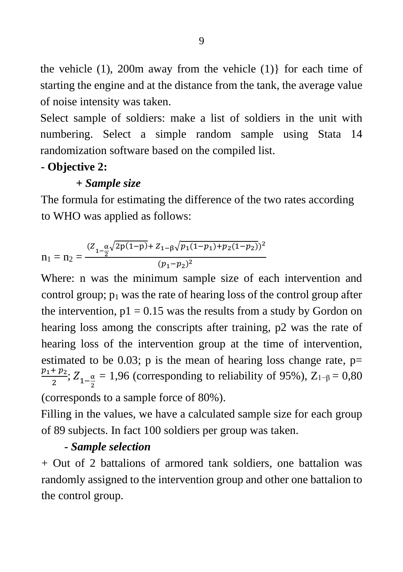the vehicle  $(1)$ ,  $200m$  away from the vehicle  $(1)$ } for each time of starting the engine and at the distance from the tank, the average value of noise intensity was taken.

Select sample of soldiers: make a list of soldiers in the unit with numbering. Select a simple random sample using Stata 14 randomization software based on the compiled list.

### **- Objective 2:**

### *+ Sample size*

The formula for estimating the difference of the two rates according to WHO was applied as follows:

$$
n_1 = n_2 = \frac{(Z_{1-\frac{\alpha}{2}}\sqrt{2p(1-p)} + Z_{1-\beta}\sqrt{p_1(1-p_1)+p_2(1-p_2)})^2}{(p_1-p_2)^2}
$$

Where: n was the minimum sample size of each intervention and control group;  $p_1$  was the rate of hearing loss of the control group after the intervention,  $p1 = 0.15$  was the results from a study by Gordon on hearing loss among the conscripts after training, p2 was the rate of hearing loss of the intervention group at the time of intervention, estimated to be 0.03; p is the mean of hearing loss change rate,  $p=$  $p_1 + p_2$  $\frac{\pi p_2}{2}$ ;  $Z_{1-\frac{\alpha}{2}}$  $\frac{\alpha}{2}$  = 1,96 (corresponding to reliability of 95%), Z<sub>1−β</sub> = 0,80

(corresponds to a sample force of 80%).

Filling in the values, we have a calculated sample size for each group of 89 subjects. In fact 100 soldiers per group was taken.

#### *- Sample selection*

+ Out of 2 battalions of armored tank soldiers, one battalion was randomly assigned to the intervention group and other one battalion to the control group.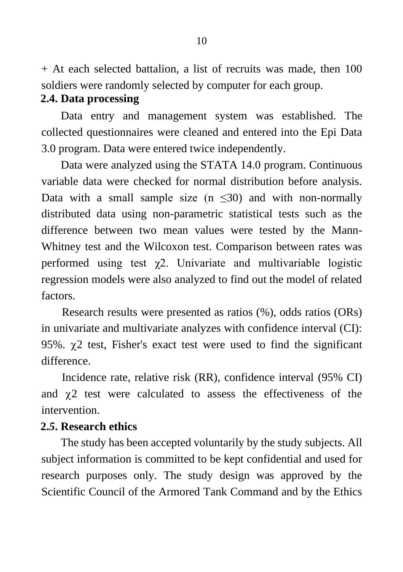+ At each selected battalion, a list of recruits was made, then 100 soldiers were randomly selected by computer for each group.

#### <span id="page-13-0"></span>**2.4. Data processing**

Data entry and management system was established. The collected questionnaires were cleaned and entered into the Epi Data 3.0 program. Data were entered twice independently.

Data were analyzed using the STATA 14.0 program. Continuous variable data were checked for normal distribution before analysis. Data with a small sample size  $(n \leq 30)$  and with non-normally distributed data using non-parametric statistical tests such as the difference between two mean values were tested by the Mann-Whitney test and the Wilcoxon test. Comparison between rates was performed using test  $\gamma$ 2. Univariate and multivariable logistic regression models were also analyzed to find out the model of related factors.

Research results were presented as ratios (%), odds ratios (ORs) in univariate and multivariate analyzes with confidence interval (CI): 95%.  $\chi$ 2 test, Fisher's exact test were used to find the significant difference.

Incidence rate, relative risk (RR), confidence interval (95% CI) and  $\chi$ 2 test were calculated to assess the effectiveness of the intervention.

#### <span id="page-13-1"></span>**2.***5***. Research ethics**

The study has been accepted voluntarily by the study subjects. All subject information is committed to be kept confidential and used for research purposes only. The study design was approved by the Scientific Council of the Armored Tank Command and by the Ethics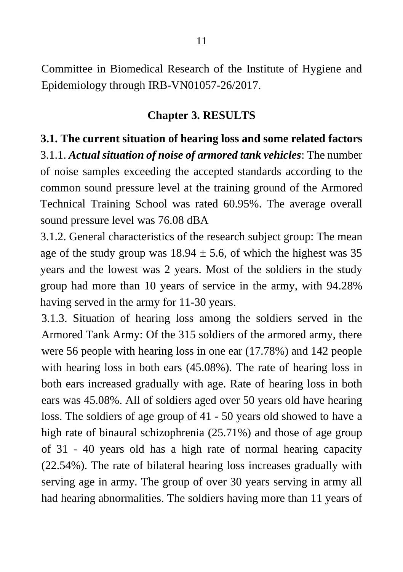Committee in Biomedical Research of the Institute of Hygiene and Epidemiology through IRB-VN01057-26/2017.

#### **Chapter 3. RESULTS**

<span id="page-14-1"></span><span id="page-14-0"></span>**3.1. The current situation of hearing loss and some related factors**  3.1.1. *Actual situation of noise of armored tank vehicles*: The number of noise samples exceeding the accepted standards according to the common sound pressure level at the training ground of the Armored Technical Training School was rated 60.95%. The average overall sound pressure level was 76.08 dBA

3.1.2. General characteristics of the research subject group: The mean age of the study group was  $18.94 \pm 5.6$ , of which the highest was 35 years and the lowest was 2 years. Most of the soldiers in the study group had more than 10 years of service in the army, with 94.28% having served in the army for 11-30 years.

3.1.3. Situation of hearing loss among the soldiers served in the Armored Tank Army: Of the 315 soldiers of the armored army, there were 56 people with hearing loss in one ear (17.78%) and 142 people with hearing loss in both ears (45.08%). The rate of hearing loss in both ears increased gradually with age. Rate of hearing loss in both ears was 45.08%. All of soldiers aged over 50 years old have hearing loss. The soldiers of age group of 41 - 50 years old showed to have a high rate of binaural schizophrenia (25.71%) and those of age group of 31 - 40 years old has a high rate of normal hearing capacity (22.54%). The rate of bilateral hearing loss increases gradually with serving age in army. The group of over 30 years serving in army all had hearing abnormalities. The soldiers having more than 11 years of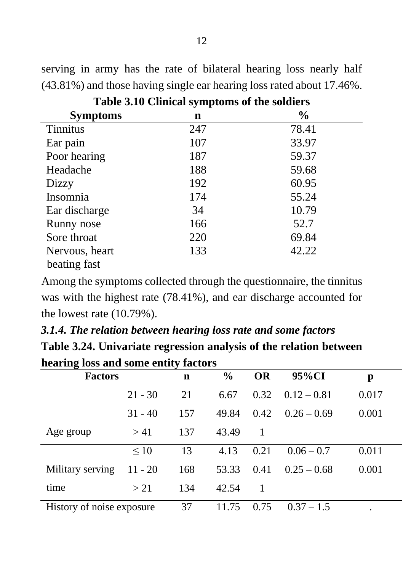serving in army has the rate of bilateral hearing loss nearly half (43.81%) and those having single ear hearing loss rated about 17.46%.

| $\mathbf{r}$ as $\mathbf{v}$ . The state $\mathbf{r}$ is the state $\mathbf{r}$ and $\mathbf{r}$ and $\mathbf{r}$ and $\mathbf{r}$ and $\mathbf{r}$ |     |               |  |  |  |  |  |  |
|-----------------------------------------------------------------------------------------------------------------------------------------------------|-----|---------------|--|--|--|--|--|--|
| <b>Symptoms</b>                                                                                                                                     | n   | $\frac{0}{0}$ |  |  |  |  |  |  |
| <b>Tinnitus</b>                                                                                                                                     | 247 | 78.41         |  |  |  |  |  |  |
| Ear pain                                                                                                                                            | 107 | 33.97         |  |  |  |  |  |  |
| Poor hearing                                                                                                                                        | 187 | 59.37         |  |  |  |  |  |  |
| Headache                                                                                                                                            | 188 | 59.68         |  |  |  |  |  |  |
| Dizzy                                                                                                                                               | 192 | 60.95         |  |  |  |  |  |  |
| Insomnia                                                                                                                                            | 174 | 55.24         |  |  |  |  |  |  |
| Ear discharge                                                                                                                                       | 34  | 10.79         |  |  |  |  |  |  |
| Runny nose                                                                                                                                          | 166 | 52.7          |  |  |  |  |  |  |
| Sore throat                                                                                                                                         | 220 | 69.84         |  |  |  |  |  |  |
| Nervous, heart                                                                                                                                      | 133 | 42.22         |  |  |  |  |  |  |
| beating fast                                                                                                                                        |     |               |  |  |  |  |  |  |

**Table 3.10 Clinical symptoms of the soldiers**

Among the symptoms collected through the questionnaire, the tinnitus was with the highest rate (78.41%), and ear discharge accounted for the lowest rate (10.79%).

*3.1.4. The relation between hearing loss rate and some factors* **Table 3.24. Univariate regression analysis of the relation between hearing loss and some entity factors**

| hearing loss and some entiry ractors |           |     |               |           |               |       |  |  |
|--------------------------------------|-----------|-----|---------------|-----------|---------------|-------|--|--|
| <b>Factors</b>                       |           | n   | $\frac{0}{0}$ | <b>OR</b> | 95%CI         | p     |  |  |
|                                      | $21 - 30$ | 21  | 6.67          | 0.32      | $0.12 - 0.81$ | 0.017 |  |  |
|                                      | $31 - 40$ | 157 | 49.84         | 0.42      | $0.26 - 0.69$ | 0.001 |  |  |
| Age group                            | > 41      | 137 | 43.49         | 1         |               |       |  |  |
|                                      | $\leq 10$ | 13  | 4.13          | 0.21      | $0.06 - 0.7$  | 0.011 |  |  |
| Military serving                     | $11 - 20$ | 168 | 53.33         | 0.41      | $0.25 - 0.68$ | 0.001 |  |  |
| time                                 | >21       | 134 | 42.54         | 1         |               |       |  |  |
| History of noise exposure            |           | 37  | 11.75         | 0.75      | $0.37 - 1.5$  |       |  |  |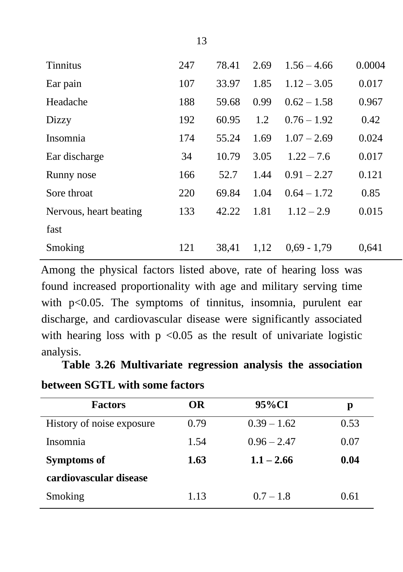| <b>Tinnitus</b>        | 247 | 78.41 | 2.69 | $1.56 - 4.66$ | 0.0004 |
|------------------------|-----|-------|------|---------------|--------|
| Ear pain               | 107 | 33.97 | 1.85 | $1.12 - 3.05$ | 0.017  |
| Headache               | 188 | 59.68 | 0.99 | $0.62 - 1.58$ | 0.967  |
| Dizzy                  | 192 | 60.95 | 1.2  | $0.76 - 1.92$ | 0.42   |
| Insomnia               | 174 | 55.24 | 1.69 | $1.07 - 2.69$ | 0.024  |
| Ear discharge          | 34  | 10.79 | 3.05 | $1.22 - 7.6$  | 0.017  |
| Runny nose             | 166 | 52.7  | 1.44 | $0.91 - 2.27$ | 0.121  |
| Sore throat            | 220 | 69.84 | 1.04 | $0.64 - 1.72$ | 0.85   |
| Nervous, heart beating | 133 | 42.22 | 1.81 | $1.12 - 2.9$  | 0.015  |
| fast                   |     |       |      |               |        |
| Smoking                | 121 | 38,41 | 1,12 | $0.69 - 1.79$ | 0,641  |

Among the physical factors listed above, rate of hearing loss was found increased proportionality with age and military serving time with p<0.05. The symptoms of tinnitus, insomnia, purulent ear discharge, and cardiovascular disease were significantly associated with hearing loss with  $p \le 0.05$  as the result of univariate logistic analysis.

| <b>Factors</b>            | <b>OR</b> | 95%CI         | р    |
|---------------------------|-----------|---------------|------|
| History of noise exposure | 0.79      | $0.39 - 1.62$ | 0.53 |
| Insomnia                  | 1.54      | $0.96 - 2.47$ | 0.07 |
| <b>Symptoms of</b>        | 1.63      | $1.1 - 2.66$  | 0.04 |
| cardiovascular disease    |           |               |      |
| Smoking                   | 1.13      | $0.7 - 1.8$   | 0.61 |

**Table 3.26 Multivariate regression analysis the association** 

| between SGTL with some factors |  |  |  |  |  |
|--------------------------------|--|--|--|--|--|
|--------------------------------|--|--|--|--|--|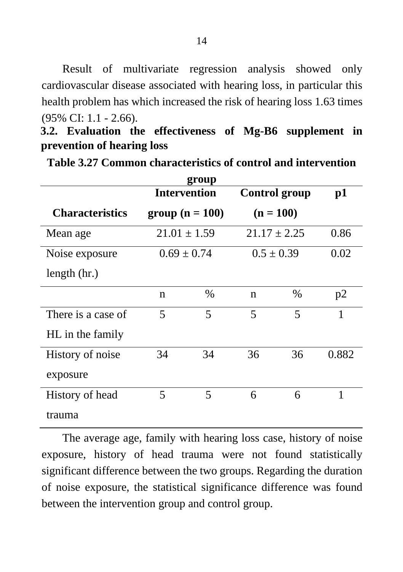Result of multivariate regression analysis showed only cardiovascular disease associated with hearing loss, in particular this health problem has which increased the risk of hearing loss 1.63 times (95% CI: 1.1 - 2.66).

<span id="page-17-0"></span>**3.2. Evaluation the effectiveness of Mg-B6 supplement in prevention of hearing loss**

| group                  |    |                     |             |                      |               |  |  |  |  |  |
|------------------------|----|---------------------|-------------|----------------------|---------------|--|--|--|--|--|
|                        |    | <b>Intervention</b> |             | <b>Control</b> group | $\mathbf{p1}$ |  |  |  |  |  |
| <b>Characteristics</b> |    | group $(n = 100)$   | $(n = 100)$ |                      |               |  |  |  |  |  |
| Mean age               |    | $21.01 \pm 1.59$    |             | $21.17 \pm 2.25$     | 0.86          |  |  |  |  |  |
| Noise exposure         |    | $0.69 \pm 0.74$     |             | $0.5 \pm 0.39$       | 0.02          |  |  |  |  |  |
| length $(hr.)$         |    |                     |             |                      |               |  |  |  |  |  |
|                        | n  | %                   | $\mathbf n$ | $\%$                 | p2            |  |  |  |  |  |
| There is a case of     | 5  | 5                   | 5           | 5                    | 1             |  |  |  |  |  |
| HL in the family       |    |                     |             |                      |               |  |  |  |  |  |
| History of noise       | 34 | 34                  | 36          | 36                   | 0.882         |  |  |  |  |  |
| exposure               |    |                     |             |                      |               |  |  |  |  |  |
| History of head        | 5  | 5                   | 6           | 6                    | 1             |  |  |  |  |  |
| trauma                 |    |                     |             |                      |               |  |  |  |  |  |

**Table 3.27 Common characteristics of control and intervention** 

The average age, family with hearing loss case, history of noise exposure, history of head trauma were not found statistically significant difference between the two groups. Regarding the duration of noise exposure, the statistical significance difference was found between the intervention group and control group.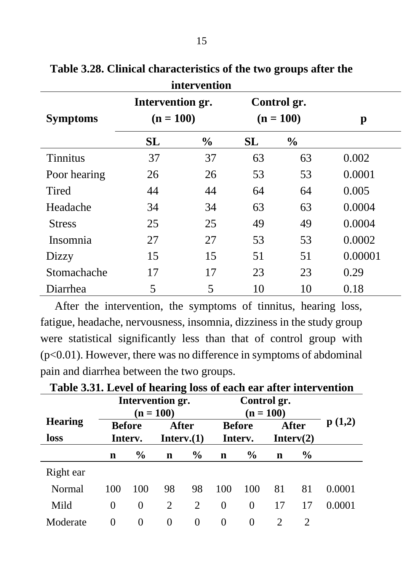|                 |                                 | пист успион   |    |                            |         |
|-----------------|---------------------------------|---------------|----|----------------------------|---------|
| <b>Symptoms</b> | Intervention gr.<br>$(n = 100)$ |               |    | Control gr.<br>$(n = 100)$ | p       |
|                 | SL                              | $\frac{0}{0}$ | SL | $\frac{6}{9}$              |         |
| <b>Tinnitus</b> | 37                              | 37            | 63 | 63                         | 0.002   |
| Poor hearing    | 26                              | 26            | 53 | 53                         | 0.0001  |
| Tired           | 44                              | 44            | 64 | 64                         | 0.005   |
| Headache        | 34                              | 34            | 63 | 63                         | 0.0004  |
| <b>Stress</b>   | 25                              | 25            | 49 | 49                         | 0.0004  |
| Insomnia        | 27                              | 27            | 53 | 53                         | 0.0002  |
| Dizzy           | 15                              | 15            | 51 | 51                         | 0.00001 |
| Stomachache     | 17                              | 17            | 23 | 23                         | 0.29    |
| Diarrhea        | 5                               | 5             | 10 | 10                         | 0.18    |

**Table 3.28. Clinical characteristics of the two groups after the intervention**

 After the intervention, the symptoms of tinnitus, hearing loss, fatigue, headache, nervousness, insomnia, dizziness in the study group were statistical significantly less than that of control group with (p<0.01). However, there was no difference in symptoms of abdominal pain and diarrhea between the two groups.

|                | o<br>Intervention gr.<br>Control gr. |                          |                     |               |                          |               |                             |               |        |
|----------------|--------------------------------------|--------------------------|---------------------|---------------|--------------------------|---------------|-----------------------------|---------------|--------|
| <b>Hearing</b> |                                      | $(n = 100)$              |                     |               |                          | $(n = 100)$   |                             | p(1,2)        |        |
| loss           |                                      | <b>Before</b><br>Interv. | After<br>Interv.(1) |               | <b>Before</b><br>Interv. |               | After<br>Interv(2)          |               |        |
|                | n                                    | $\frac{6}{9}$            | $\mathbf n$         | $\frac{6}{9}$ | n                        | $\frac{6}{9}$ | n                           | $\frac{6}{9}$ |        |
| Right ear      |                                      |                          |                     |               |                          |               |                             |               |        |
| Normal         | 100                                  | 100                      | 98                  | 98            | 100                      | 100           | 81                          | 81            | 0.0001 |
| Mild           | $\Omega$                             | $\theta$                 | 2                   | 2             | $\theta$                 | $\Omega$      | 17                          | 17            | 0.0001 |
| Moderate       | $\Omega$                             | $\Omega$                 | $\Omega$            | $\theta$      | $\theta$                 | $\Omega$      | $\mathcal{D}_{\mathcal{L}}$ | 2             |        |

**Table 3.31. Level of hearing loss of each ear after intervention**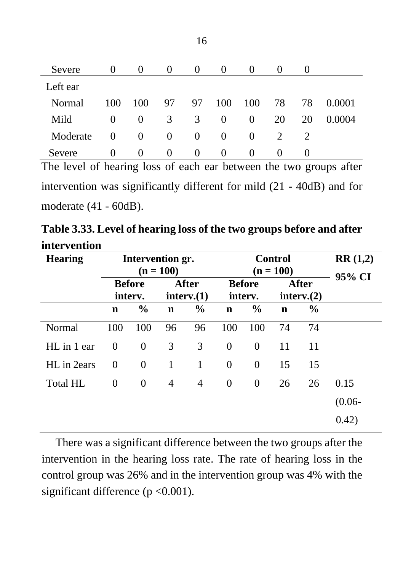| Severe   | $\theta$ | $\theta$ | $\theta$ | $\theta$ | $\theta$ | $\theta$ | $\Omega$ | $\theta$ |        |
|----------|----------|----------|----------|----------|----------|----------|----------|----------|--------|
| Left ear |          |          |          |          |          |          |          |          |        |
| Normal   | 100      | 100      | 97       | 97       | 100      | 100      | 78       | 78       | 0.0001 |
| Mild     | $\theta$ | $\theta$ | 3        | 3        | $\theta$ | $\theta$ | 20       | 20       | 0.0004 |
| Moderate | $\theta$ | $\theta$ | $\theta$ | $\theta$ | $\theta$ | $\Omega$ | 2        | 2        |        |
| Severe   | $\theta$ | $\theta$ | $\theta$ | $\theta$ | $\theta$ | $\theta$ | $\theta$ |          |        |

The level of hearing loss of each ear between the two groups after intervention was significantly different for mild (21 - 40dB) and for moderate (41 - 60dB).

**Table 3.33. Level of hearing loss of the two groups before and after intervention**

| <b>Hearing</b>  | Intervention gr.<br>$(n = 100)$ |                                                 |             |               | <b>Control</b><br>$(n = 100)$ | RR(1,2)<br>95% CI        |             |                            |           |
|-----------------|---------------------------------|-------------------------------------------------|-------------|---------------|-------------------------------|--------------------------|-------------|----------------------------|-----------|
|                 |                                 | After<br><b>Before</b><br>interv.(1)<br>interv. |             |               |                               | <b>Before</b><br>interv. |             | <b>After</b><br>interv.(2) |           |
|                 | $\mathbf n$                     | $\frac{0}{0}$                                   | $\mathbf n$ | $\frac{0}{0}$ | $\mathbf n$                   | $\frac{0}{0}$            | $\mathbf n$ | $\frac{0}{0}$              |           |
| Normal          | 100                             | 100                                             | 96          | 96            | 100                           | 100                      | 74          | 74                         |           |
| HL in 1 ear     | $\Omega$                        | $\Omega$                                        | 3           | 3             | $\theta$                      | $\Omega$                 | 11          | 11                         |           |
| HL in 2ears     | $\Omega$                        | $\Omega$                                        | 1           | 1             | $\theta$                      | $\Omega$                 | 15          | 15                         |           |
| <b>Total HL</b> | 0                               | $\mathbf{0}$                                    | 4           | 4             | $\mathbf{0}$                  | $\overline{0}$           | 26          | 26                         | 0.15      |
|                 |                                 |                                                 |             |               |                               |                          |             |                            | $(0.06 -$ |
|                 |                                 |                                                 |             |               |                               |                          |             |                            | 0.42)     |

There was a significant difference between the two groups after the intervention in the hearing loss rate. The rate of hearing loss in the control group was 26% and in the intervention group was 4% with the significant difference ( $p < 0.001$ ).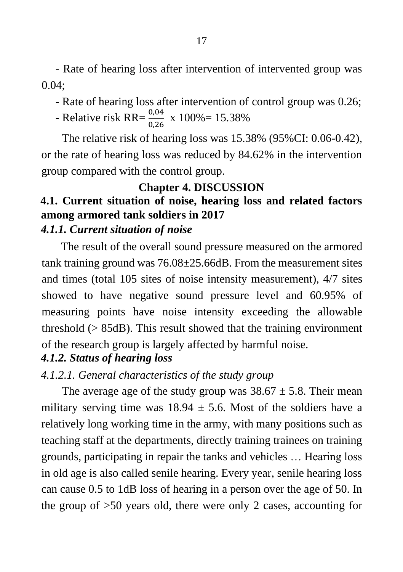- Rate of hearing loss after intervention of intervented group was 0.04;

- Rate of hearing loss after intervention of control group was 0.26;
- Relative risk RR= $\frac{0.04}{0.26}$  x 100%= 15.38%

The relative risk of hearing loss was 15.38% (95%CI: 0.06-0.42), or the rate of hearing loss was reduced by 84.62% in the intervention group compared with the control group.

## **Chapter 4. DISCUSSION**

## <span id="page-20-1"></span><span id="page-20-0"></span>**4.1. Current situation of noise, hearing loss and related factors among armored tank soldiers in 2017**

### *4.1.1. Current situation of noise*

The result of the overall sound pressure measured on the armored tank training ground was  $76.08 \pm 25.66$ dB. From the measurement sites and times (total 105 sites of noise intensity measurement), 4/7 sites showed to have negative sound pressure level and 60.95% of measuring points have noise intensity exceeding the allowable threshold  $(> 85dB)$ . This result showed that the training environment of the research group is largely affected by harmful noise.

## *4.1.2. Status of hearing loss*

## *4.1.2.1. General characteristics of the study group*

The average age of the study group was  $38.67 \pm 5.8$ . Their mean military serving time was  $18.94 \pm 5.6$ . Most of the soldiers have a relatively long working time in the army, with many positions such as teaching staff at the departments, directly training trainees on training grounds, participating in repair the tanks and vehicles … Hearing loss in old age is also called senile hearing. Every year, senile hearing loss can cause 0.5 to 1dB loss of hearing in a person over the age of 50. In the group of >50 years old, there were only 2 cases, accounting for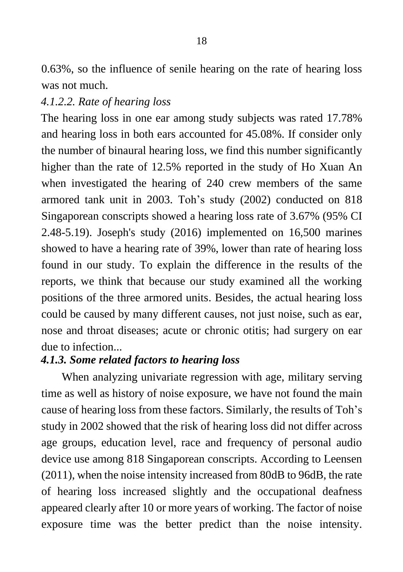0.63%, so the influence of senile hearing on the rate of hearing loss was not much.

#### *4.1.2.2. Rate of hearing loss*

The hearing loss in one ear among study subjects was rated 17.78% and hearing loss in both ears accounted for 45.08%. If consider only the number of binaural hearing loss, we find this number significantly higher than the rate of 12.5% reported in the study of Ho Xuan An when investigated the hearing of 240 crew members of the same armored tank unit in 2003. Toh's study (2002) conducted on 818 Singaporean conscripts showed a hearing loss rate of 3.67% (95% CI 2.48-5.19). Joseph's study (2016) implemented on 16,500 marines showed to have a hearing rate of 39%, lower than rate of hearing loss found in our study. To explain the difference in the results of the reports, we think that because our study examined all the working positions of the three armored units. Besides, the actual hearing loss could be caused by many different causes, not just noise, such as ear, nose and throat diseases; acute or chronic otitis; had surgery on ear due to infection.

#### *4.1.3. Some related factors to hearing loss*

When analyzing univariate regression with age, military serving time as well as history of noise exposure, we have not found the main cause of hearing loss from these factors. Similarly, the results of Toh's study in 2002 showed that the risk of hearing loss did not differ across age groups, education level, race and frequency of personal audio device use among 818 Singaporean conscripts. According to Leensen (2011), when the noise intensity increased from 80dB to 96dB, the rate of hearing loss increased slightly and the occupational deafness appeared clearly after 10 or more years of working. The factor of noise exposure time was the better predict than the noise intensity.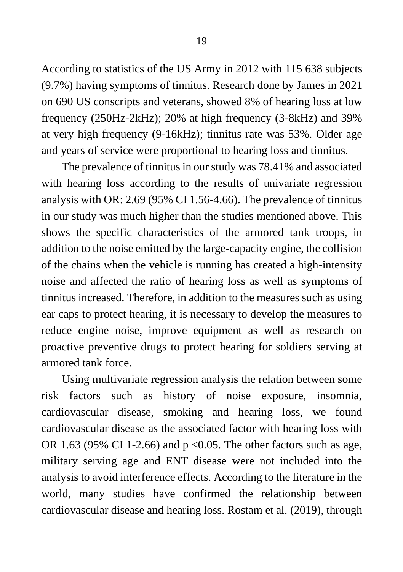According to statistics of the US Army in 2012 with 115 638 subjects (9.7%) having symptoms of tinnitus. Research done by James in 2021 on 690 US conscripts and veterans, showed 8% of hearing loss at low frequency (250Hz-2kHz); 20% at high frequency (3-8kHz) and 39% at very high frequency (9-16kHz); tinnitus rate was 53%. Older age and years of service were proportional to hearing loss and tinnitus.

The prevalence of tinnitus in our study was 78.41% and associated with hearing loss according to the results of univariate regression analysis with OR: 2.69 (95% CI 1.56-4.66). The prevalence of tinnitus in our study was much higher than the studies mentioned above. This shows the specific characteristics of the armored tank troops, in addition to the noise emitted by the large-capacity engine, the collision of the chains when the vehicle is running has created a high-intensity noise and affected the ratio of hearing loss as well as symptoms of tinnitus increased. Therefore, in addition to the measures such as using ear caps to protect hearing, it is necessary to develop the measures to reduce engine noise, improve equipment as well as research on proactive preventive drugs to protect hearing for soldiers serving at armored tank force.

Using multivariate regression analysis the relation between some risk factors such as history of noise exposure, insomnia, cardiovascular disease, smoking and hearing loss, we found cardiovascular disease as the associated factor with hearing loss with OR 1.63 (95% CI 1-2.66) and  $p \le 0.05$ . The other factors such as age, military serving age and ENT disease were not included into the analysis to avoid interference effects. According to the literature in the world, many studies have confirmed the relationship between cardiovascular disease and hearing loss. Rostam et al. (2019), through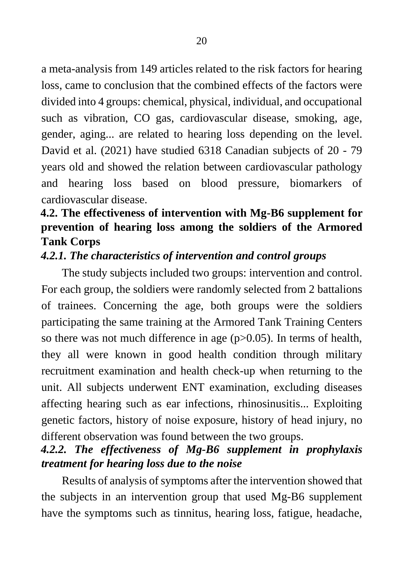a meta-analysis from 149 articles related to the risk factors for hearing loss, came to conclusion that the combined effects of the factors were divided into 4 groups: chemical, physical, individual, and occupational such as vibration, CO gas, cardiovascular disease, smoking, age, gender, aging... are related to hearing loss depending on the level. David et al. (2021) have studied 6318 Canadian subjects of 20 - 79 years old and showed the relation between cardiovascular pathology and hearing loss based on blood pressure, biomarkers of cardiovascular disease.

## <span id="page-23-0"></span>**4.2. The effectiveness of intervention with Mg-B6 supplement for prevention of hearing loss among the soldiers of the Armored Tank Corps**

#### <span id="page-23-1"></span>*4.2.1. The characteristics of intervention and control groups*

The study subjects included two groups: intervention and control. For each group, the soldiers were randomly selected from 2 battalions of trainees. Concerning the age, both groups were the soldiers participating the same training at the Armored Tank Training Centers so there was not much difference in age  $(p>0.05)$ . In terms of health, they all were known in good health condition through military recruitment examination and health check-up when returning to the unit. All subjects underwent ENT examination, excluding diseases affecting hearing such as ear infections, rhinosinusitis... Exploiting genetic factors, history of noise exposure, history of head injury, no different observation was found between the two groups.

## <span id="page-23-2"></span>*4.2.2. The effectiveness of Mg-B6 supplement in prophylaxis treatment for hearing loss due to the noise*

Results of analysis of symptoms after the intervention showed that the subjects in an intervention group that used Mg-B6 supplement have the symptoms such as tinnitus, hearing loss, fatigue, headache,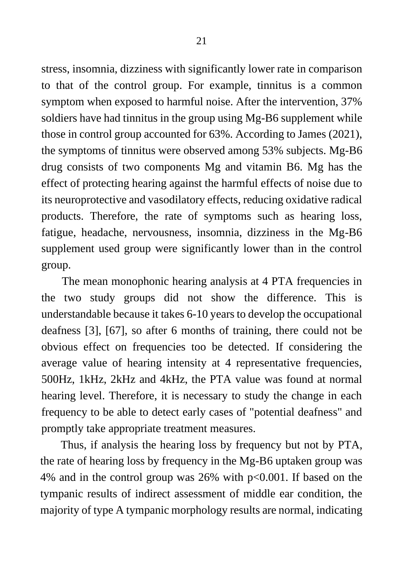stress, insomnia, dizziness with significantly lower rate in comparison to that of the control group. For example, tinnitus is a common symptom when exposed to harmful noise. After the intervention, 37% soldiers have had tinnitus in the group using Mg-B6 supplement while those in control group accounted for 63%. According to James (2021), the symptoms of tinnitus were observed among 53% subjects. Mg-B6 drug consists of two components Mg and vitamin B6. Mg has the effect of protecting hearing against the harmful effects of noise due to its neuroprotective and vasodilatory effects, reducing oxidative radical products. Therefore, the rate of symptoms such as hearing loss, fatigue, headache, nervousness, insomnia, dizziness in the Mg-B6 supplement used group were significantly lower than in the control group.

The mean monophonic hearing analysis at 4 PTA frequencies in the two study groups did not show the difference. This is understandable because it takes 6-10 years to develop the occupational deafness [3], [67], so after 6 months of training, there could not be obvious effect on frequencies too be detected. If considering the average value of hearing intensity at 4 representative frequencies, 500Hz, 1kHz, 2kHz and 4kHz, the PTA value was found at normal hearing level. Therefore, it is necessary to study the change in each frequency to be able to detect early cases of "potential deafness" and promptly take appropriate treatment measures.

Thus, if analysis the hearing loss by frequency but not by PTA, the rate of hearing loss by frequency in the Mg-B6 uptaken group was 4% and in the control group was 26% with p<0.001. If based on the tympanic results of indirect assessment of middle ear condition, the majority of type A tympanic morphology results are normal, indicating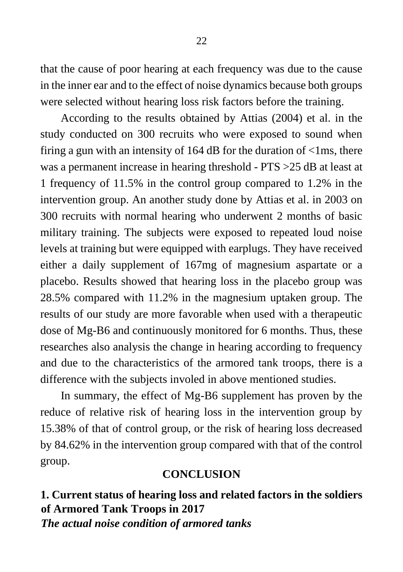that the cause of poor hearing at each frequency was due to the cause in the inner ear and to the effect of noise dynamics because both groups were selected without hearing loss risk factors before the training.

According to the results obtained by Attias (2004) et al. in the study conducted on 300 recruits who were exposed to sound when firing a gun with an intensity of  $164$  dB for the duration of  $\langle$ 1ms, there was a permanent increase in hearing threshold - PTS >25 dB at least at 1 frequency of 11.5% in the control group compared to 1.2% in the intervention group. An another study done by Attias et al. in 2003 on 300 recruits with normal hearing who underwent 2 months of basic military training. The subjects were exposed to repeated loud noise levels at training but were equipped with earplugs. They have received either a daily supplement of 167mg of magnesium aspartate or a placebo. Results showed that hearing loss in the placebo group was 28.5% compared with 11.2% in the magnesium uptaken group. The results of our study are more favorable when used with a therapeutic dose of Mg-B6 and continuously monitored for 6 months. Thus, these researches also analysis the change in hearing according to frequency and due to the characteristics of the armored tank troops, there is a difference with the subjects involed in above mentioned studies.

In summary, the effect of Mg-B6 supplement has proven by the reduce of relative risk of hearing loss in the intervention group by 15.38% of that of control group, or the risk of hearing loss decreased by 84.62% in the intervention group compared with that of the control group.

#### **CONCLUSION**

<span id="page-25-1"></span><span id="page-25-0"></span>**1. Current status of hearing loss and related factors in the soldiers of Armored Tank Troops in 2017** *The actual noise condition of armored tanks*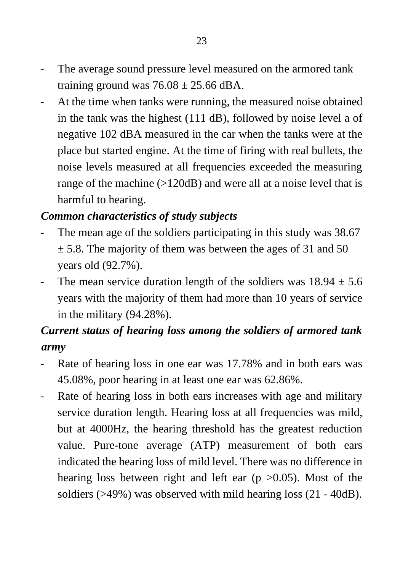- The average sound pressure level measured on the armored tank training ground was  $76.08 \pm 25.66$  dBA.
- At the time when tanks were running, the measured noise obtained in the tank was the highest (111 dB), followed by noise level a of negative 102 dBA measured in the car when the tanks were at the place but started engine. At the time of firing with real bullets, the noise levels measured at all frequencies exceeded the measuring range of the machine (>120dB) and were all at a noise level that is harmful to hearing.

#### *Common characteristics of study subjects*

- The mean age of the soldiers participating in this study was 38.67  $\pm$  5.8. The majority of them was between the ages of 31 and 50 years old (92.7%).
- The mean service duration length of the soldiers was  $18.94 \pm 5.6$ years with the majority of them had more than 10 years of service in the military (94.28%).

## *Current status of hearing loss among the soldiers of armored tank army*

- Rate of hearing loss in one ear was 17.78% and in both ears was 45.08%, poor hearing in at least one ear was 62.86%.
- Rate of hearing loss in both ears increases with age and military service duration length. Hearing loss at all frequencies was mild, but at 4000Hz, the hearing threshold has the greatest reduction value. Pure-tone average (ATP) measurement of both ears indicated the hearing loss of mild level. There was no difference in hearing loss between right and left ear  $(p > 0.05)$ . Most of the soldiers (>49%) was observed with mild hearing loss (21 - 40dB).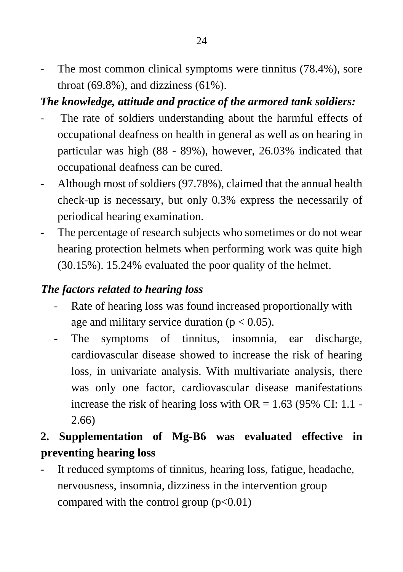The most common clinical symptoms were tinnitus (78.4%), sore throat  $(69.8\%)$ , and dizziness  $(61\%)$ .

## *The knowledge, attitude and practice of the armored tank soldiers:*

- The rate of soldiers understanding about the harmful effects of occupational deafness on health in general as well as on hearing in particular was high (88 - 89%), however, 26.03% indicated that occupational deafness can be cured.
- Although most of soldiers (97.78%), claimed that the annual health check-up is necessary, but only 0.3% express the necessarily of periodical hearing examination.
- The percentage of research subjects who sometimes or do not wear hearing protection helmets when performing work was quite high (30.15%). 15.24% evaluated the poor quality of the helmet.

## *The factors related to hearing loss*

- Rate of hearing loss was found increased proportionally with age and military service duration ( $p < 0.05$ ).
- The symptoms of tinnitus, insomnia, ear discharge, cardiovascular disease showed to increase the risk of hearing loss, in univariate analysis. With multivariate analysis, there was only one factor, cardiovascular disease manifestations increase the risk of hearing loss with  $OR = 1.63$  (95% CI: 1.1 -2.66)

## <span id="page-27-0"></span>**2. Supplementation of Mg-B6 was evaluated effective in preventing hearing loss**

It reduced symptoms of tinnitus, hearing loss, fatigue, headache, nervousness, insomnia, dizziness in the intervention group compared with the control group  $(p<0.01)$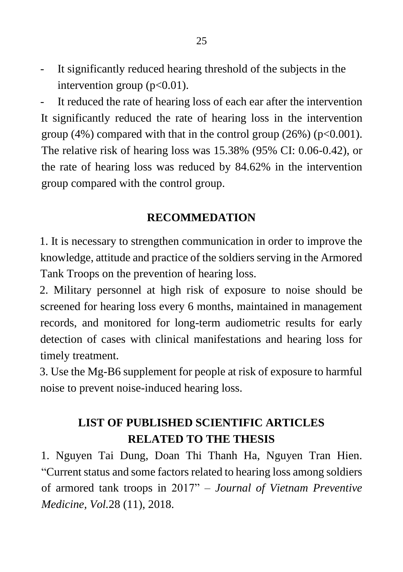- It significantly reduced hearing threshold of the subjects in the intervention group  $(p<0.01)$ .

- It reduced the rate of hearing loss of each ear after the intervention It significantly reduced the rate of hearing loss in the intervention group (4%) compared with that in the control group (26%) ( $p<0.001$ ). The relative risk of hearing loss was 15.38% (95% CI: 0.06-0.42), or the rate of hearing loss was reduced by 84.62% in the intervention group compared with the control group.

#### **RECOMMEDATION**

<span id="page-28-0"></span>1. It is necessary to strengthen communication in order to improve the knowledge, attitude and practice of the soldiers serving in the Armored Tank Troops on the prevention of hearing loss.

2. Military personnel at high risk of exposure to noise should be screened for hearing loss every 6 months, maintained in management records, and monitored for long-term audiometric results for early detection of cases with clinical manifestations and hearing loss for timely treatment.

3. Use the Mg-B6 supplement for people at risk of exposure to harmful noise to prevent noise-induced hearing loss.

## **LIST OF PUBLISHED SCIENTIFIC ARTICLES RELATED TO THE THESIS**

1. Nguyen Tai Dung, Doan Thi Thanh Ha, Nguyen Tran Hien. "Current status and some factors related to hearing loss among soldiers of armored tank troops in 2017" – *Journal of Vietnam Preventive Medicine, Vol.*28 (11), 2018.